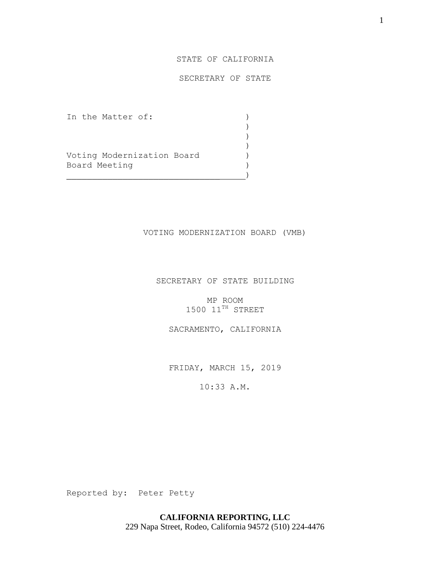# STATE OF CALIFORNIA

# SECRETARY OF STATE

) )

 $)$ 

In the Matter of:  $\qquad \qquad$  )

Voting Modernization Board ) Board Meeting (1999)

 $)$ 

## VOTING MODERNIZATION BOARD (VMB)

# SECRETARY OF STATE BUILDING

MP ROOM  $1500$   $11^{TH}$  STREET

SACRAMENTO, CALIFORNIA

FRIDAY, MARCH 15, 2019

10:33 A.M.

Reported by: Peter Petty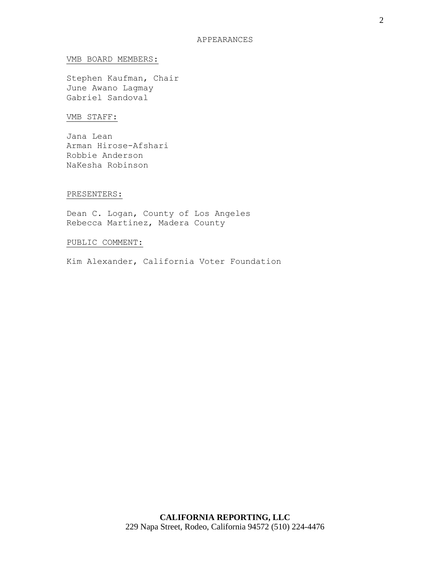#### APPEARANCES

#### VMB BOARD MEMBERS:

Stephen Kaufman, Chair June Awano Lagmay Gabriel Sandoval

# VMB STAFF:

Jana Lean Arman Hirose-Afshari Robbie Anderson NaKesha Robinson

#### PRESENTERS:

Dean C. Logan, County of Los Angeles Rebecca Martinez, Madera County

# PUBLIC COMMENT:

Kim Alexander, California Voter Foundation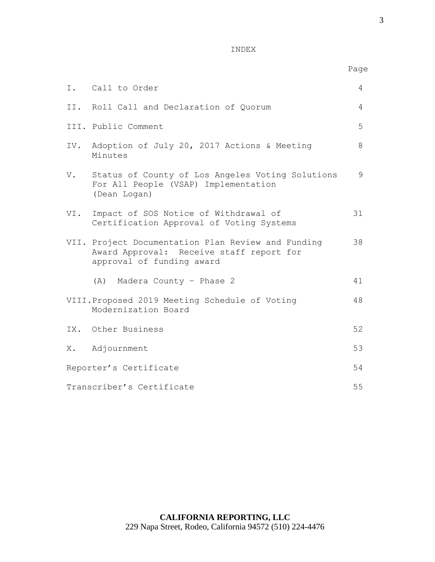## INDEX

|                           | I. Call to Order                                                                                                            | $\overline{4}$ |
|---------------------------|-----------------------------------------------------------------------------------------------------------------------------|----------------|
|                           | II. Roll Call and Declaration of Quorum                                                                                     | $\overline{4}$ |
|                           | III. Public Comment                                                                                                         | 5              |
|                           | IV. Adoption of July 20, 2017 Actions & Meeting<br>Minutes                                                                  | 8              |
| V.                        | Status of County of Los Angeles Voting Solutions<br>For All People (VSAP) Implementation<br>(Dean Logan)                    | 9              |
| VI.                       | Impact of SOS Notice of Withdrawal of<br>Certification Approval of Voting Systems                                           | 31             |
|                           | VII. Project Documentation Plan Review and Funding<br>Award Approval: Receive staff report for<br>approval of funding award | 38             |
|                           | (A) Madera County - Phase 2                                                                                                 | 41             |
|                           | VIII. Proposed 2019 Meeting Schedule of Voting<br>Modernization Board                                                       | 48             |
|                           | IX. Other Business                                                                                                          | 52             |
|                           | X. Adjournment                                                                                                              | 53             |
| Reporter's Certificate    |                                                                                                                             | 54             |
| Transcriber's Certificate |                                                                                                                             | 55             |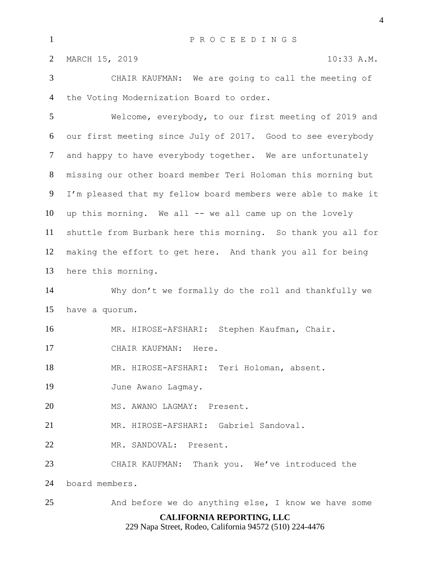CHAIR KAUFMAN: We are going to call the meeting of the Voting Modernization Board to order.

 Welcome, everybody, to our first meeting of 2019 and our first meeting since July of 2017. Good to see everybody and happy to have everybody together. We are unfortunately missing our other board member Teri Holoman this morning but I'm pleased that my fellow board members were able to make it up this morning. We all -- we all came up on the lovely shuttle from Burbank here this morning. So thank you all for making the effort to get here. And thank you all for being here this morning.

 Why don't we formally do the roll and thankfully we have a quorum.

MR. HIROSE-AFSHARI: Stephen Kaufman, Chair.

CHAIR KAUFMAN: Here.

MR. HIROSE-AFSHARI: Teri Holoman, absent.

19 June Awano Lagmay.

MS. AWANO LAGMAY: Present.

MR. HIROSE-AFSHARI: Gabriel Sandoval.

MR. SANDOVAL: Present.

CHAIR KAUFMAN: Thank you. We've introduced the

board members.

And before we do anything else, I know we have some

# **CALIFORNIA REPORTING, LLC**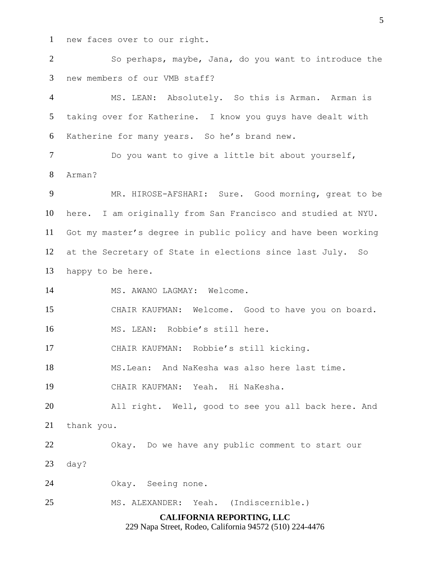new faces over to our right.

 So perhaps, maybe, Jana, do you want to introduce the new members of our VMB staff?

 MS. LEAN: Absolutely. So this is Arman. Arman is taking over for Katherine. I know you guys have dealt with Katherine for many years. So he's brand new.

 Do you want to give a little bit about yourself, Arman?

 MR. HIROSE-AFSHARI: Sure. Good morning, great to be here. I am originally from San Francisco and studied at NYU. Got my master's degree in public policy and have been working at the Secretary of State in elections since last July. So happy to be here.

14 MS. AWANO LAGMAY: Welcome.

CHAIR KAUFMAN: Welcome. Good to have you on board.

MS. LEAN: Robbie's still here.

CHAIR KAUFMAN: Robbie's still kicking.

MS.Lean: And NaKesha was also here last time.

CHAIR KAUFMAN: Yeah. Hi NaKesha.

 All right. Well, good to see you all back here. And thank you.

Okay. Do we have any public comment to start our

day?

Okay. Seeing none.

MS. ALEXANDER: Yeah. (Indiscernible.)

#### **CALIFORNIA REPORTING, LLC**

229 Napa Street, Rodeo, California 94572 (510) 224-4476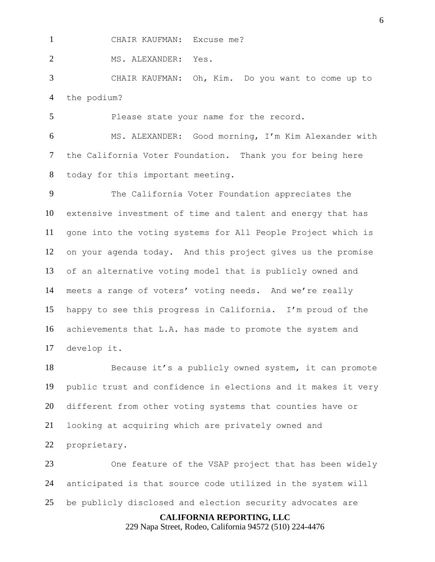CHAIR KAUFMAN: Excuse me?

2 MS. ALEXANDER: Yes.

 CHAIR KAUFMAN: Oh, Kim. Do you want to come up to the podium?

Please state your name for the record.

 MS. ALEXANDER: Good morning, I'm Kim Alexander with the California Voter Foundation. Thank you for being here today for this important meeting.

 The California Voter Foundation appreciates the extensive investment of time and talent and energy that has gone into the voting systems for All People Project which is on your agenda today. And this project gives us the promise of an alternative voting model that is publicly owned and meets a range of voters' voting needs. And we're really happy to see this progress in California. I'm proud of the achievements that L.A. has made to promote the system and develop it.

 Because it's a publicly owned system, it can promote public trust and confidence in elections and it makes it very different from other voting systems that counties have or looking at acquiring which are privately owned and proprietary.

 One feature of the VSAP project that has been widely anticipated is that source code utilized in the system will be publicly disclosed and election security advocates are

**CALIFORNIA REPORTING, LLC**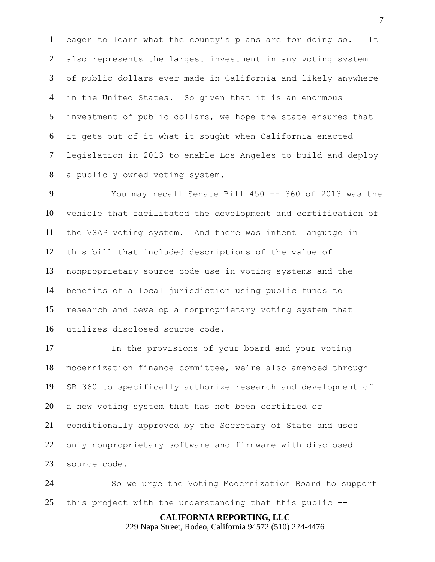eager to learn what the county's plans are for doing so. It also represents the largest investment in any voting system of public dollars ever made in California and likely anywhere in the United States. So given that it is an enormous investment of public dollars, we hope the state ensures that it gets out of it what it sought when California enacted legislation in 2013 to enable Los Angeles to build and deploy a publicly owned voting system.

 You may recall Senate Bill 450 -- 360 of 2013 was the vehicle that facilitated the development and certification of the VSAP voting system. And there was intent language in this bill that included descriptions of the value of nonproprietary source code use in voting systems and the benefits of a local jurisdiction using public funds to research and develop a nonproprietary voting system that utilizes disclosed source code.

 In the provisions of your board and your voting modernization finance committee, we're also amended through SB 360 to specifically authorize research and development of a new voting system that has not been certified or conditionally approved by the Secretary of State and uses only nonproprietary software and firmware with disclosed source code.

 So we urge the Voting Modernization Board to support this project with the understanding that this public --

> **CALIFORNIA REPORTING, LLC** 229 Napa Street, Rodeo, California 94572 (510) 224-4476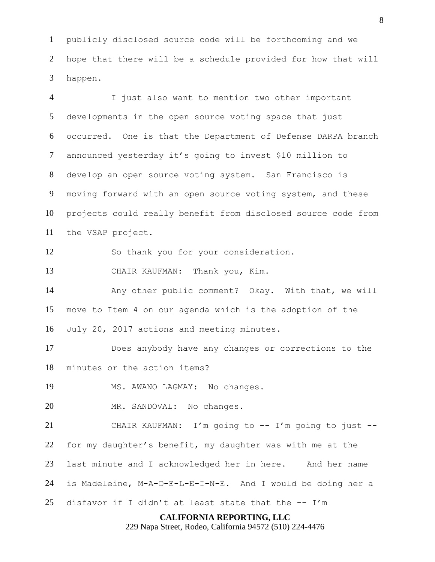publicly disclosed source code will be forthcoming and we hope that there will be a schedule provided for how that will happen.

**CALIFORNIA REPORTING, LLC** I just also want to mention two other important developments in the open source voting space that just occurred. One is that the Department of Defense DARPA branch announced yesterday it's going to invest \$10 million to develop an open source voting system. San Francisco is moving forward with an open source voting system, and these projects could really benefit from disclosed source code from the VSAP project. So thank you for your consideration. CHAIR KAUFMAN: Thank you, Kim. Any other public comment? Okay. With that, we will move to Item 4 on our agenda which is the adoption of the July 20, 2017 actions and meeting minutes. Does anybody have any changes or corrections to the minutes or the action items? MS. AWANO LAGMAY: No changes. MR. SANDOVAL: No changes. CHAIR KAUFMAN: I'm going to -- I'm going to just -- for my daughter's benefit, my daughter was with me at the last minute and I acknowledged her in here. And her name is Madeleine, M-A-D-E-L-E-I-N-E. And I would be doing her a 25 disfavor if I didn't at least state that the  $-- I'm$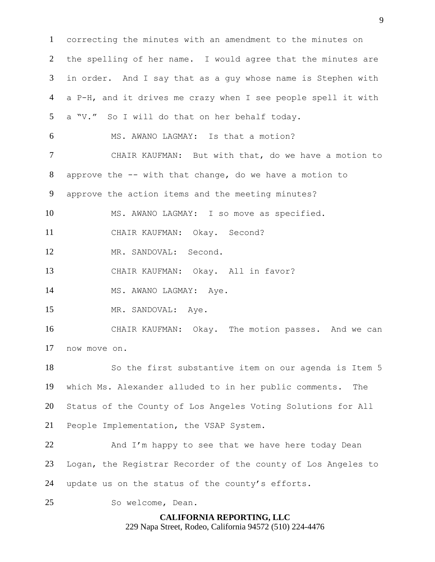correcting the minutes with an amendment to the minutes on the spelling of her name. I would agree that the minutes are in order. And I say that as a guy whose name is Stephen with a P-H, and it drives me crazy when I see people spell it with a "V." So I will do that on her behalf today. MS. AWANO LAGMAY: Is that a motion? CHAIR KAUFMAN: But with that, do we have a motion to approve the -- with that change, do we have a motion to approve the action items and the meeting minutes? MS. AWANO LAGMAY: I so move as specified. CHAIR KAUFMAN: Okay. Second? MR. SANDOVAL: Second. CHAIR KAUFMAN: Okay. All in favor? 14 MS. AWANO LAGMAY: Aye. 15 MR. SANDOVAL: Aye. CHAIR KAUFMAN: Okay. The motion passes. And we can now move on. So the first substantive item on our agenda is Item 5 which Ms. Alexander alluded to in her public comments. The Status of the County of Los Angeles Voting Solutions for All People Implementation, the VSAP System. 22 And I'm happy to see that we have here today Dean Logan, the Registrar Recorder of the county of Los Angeles to update us on the status of the county's efforts. So welcome, Dean.

> **CALIFORNIA REPORTING, LLC** 229 Napa Street, Rodeo, California 94572 (510) 224-4476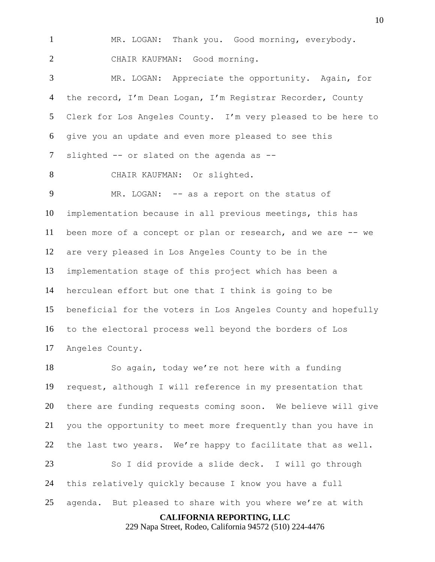MR. LOGAN: Thank you. Good morning, everybody. CHAIR KAUFMAN: Good morning.

 MR. LOGAN: Appreciate the opportunity. Again, for the record, I'm Dean Logan, I'm Registrar Recorder, County Clerk for Los Angeles County. I'm very pleased to be here to give you an update and even more pleased to see this 7 slighted -- or slated on the agenda as --

CHAIR KAUFMAN: Or slighted.

9 MR. LOGAN: -- as a report on the status of implementation because in all previous meetings, this has been more of a concept or plan or research, and we are -- we are very pleased in Los Angeles County to be in the implementation stage of this project which has been a herculean effort but one that I think is going to be beneficial for the voters in Los Angeles County and hopefully to the electoral process well beyond the borders of Los Angeles County.

 So again, today we're not here with a funding request, although I will reference in my presentation that there are funding requests coming soon. We believe will give you the opportunity to meet more frequently than you have in the last two years. We're happy to facilitate that as well. So I did provide a slide deck. I will go through this relatively quickly because I know you have a full

agenda. But pleased to share with you where we're at with

**CALIFORNIA REPORTING, LLC**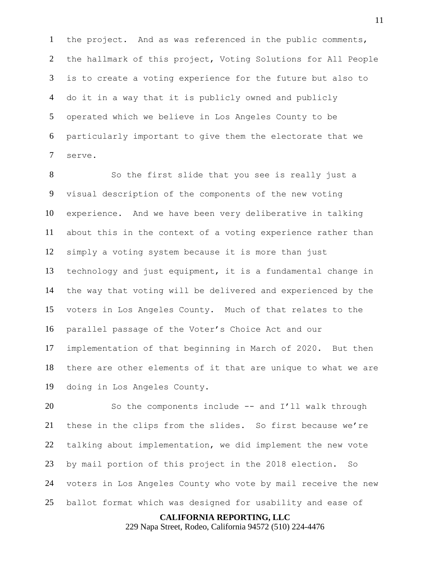the project. And as was referenced in the public comments, the hallmark of this project, Voting Solutions for All People is to create a voting experience for the future but also to do it in a way that it is publicly owned and publicly operated which we believe in Los Angeles County to be particularly important to give them the electorate that we serve.

 So the first slide that you see is really just a visual description of the components of the new voting experience. And we have been very deliberative in talking about this in the context of a voting experience rather than simply a voting system because it is more than just technology and just equipment, it is a fundamental change in the way that voting will be delivered and experienced by the voters in Los Angeles County. Much of that relates to the parallel passage of the Voter's Choice Act and our implementation of that beginning in March of 2020. But then there are other elements of it that are unique to what we are doing in Los Angeles County.

 So the components include -- and I'll walk through these in the clips from the slides. So first because we're talking about implementation, we did implement the new vote by mail portion of this project in the 2018 election. So voters in Los Angeles County who vote by mail receive the new ballot format which was designed for usability and ease of

**CALIFORNIA REPORTING, LLC**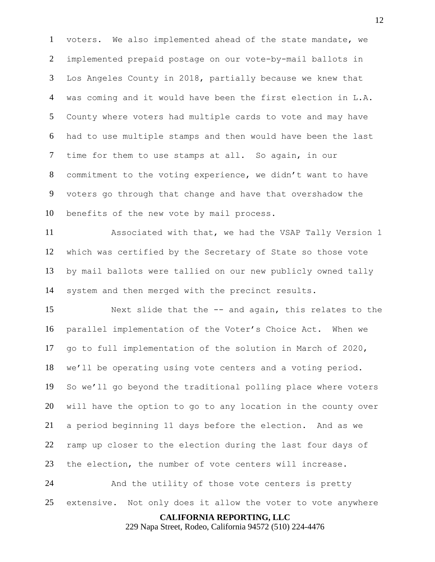voters. We also implemented ahead of the state mandate, we implemented prepaid postage on our vote-by-mail ballots in Los Angeles County in 2018, partially because we knew that was coming and it would have been the first election in L.A. County where voters had multiple cards to vote and may have had to use multiple stamps and then would have been the last time for them to use stamps at all. So again, in our commitment to the voting experience, we didn't want to have voters go through that change and have that overshadow the benefits of the new vote by mail process.

 Associated with that, we had the VSAP Tally Version 1 which was certified by the Secretary of State so those vote by mail ballots were tallied on our new publicly owned tally system and then merged with the precinct results.

 Next slide that the -- and again, this relates to the parallel implementation of the Voter's Choice Act. When we go to full implementation of the solution in March of 2020, we'll be operating using vote centers and a voting period. So we'll go beyond the traditional polling place where voters will have the option to go to any location in the county over a period beginning 11 days before the election. And as we ramp up closer to the election during the last four days of the election, the number of vote centers will increase. And the utility of those vote centers is pretty

extensive. Not only does it allow the voter to vote anywhere

**CALIFORNIA REPORTING, LLC**

229 Napa Street, Rodeo, California 94572 (510) 224-4476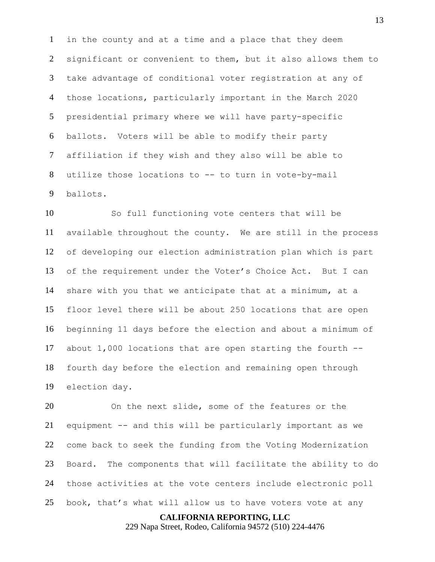in the county and at a time and a place that they deem significant or convenient to them, but it also allows them to take advantage of conditional voter registration at any of those locations, particularly important in the March 2020 presidential primary where we will have party-specific ballots. Voters will be able to modify their party affiliation if they wish and they also will be able to utilize those locations to -- to turn in vote-by-mail ballots.

 So full functioning vote centers that will be available throughout the county. We are still in the process of developing our election administration plan which is part of the requirement under the Voter's Choice Act. But I can share with you that we anticipate that at a minimum, at a floor level there will be about 250 locations that are open beginning 11 days before the election and about a minimum of about 1,000 locations that are open starting the fourth -- fourth day before the election and remaining open through election day.

 On the next slide, some of the features or the equipment -- and this will be particularly important as we come back to seek the funding from the Voting Modernization Board. The components that will facilitate the ability to do those activities at the vote centers include electronic poll book, that's what will allow us to have voters vote at any

#### **CALIFORNIA REPORTING, LLC**

229 Napa Street, Rodeo, California 94572 (510) 224-4476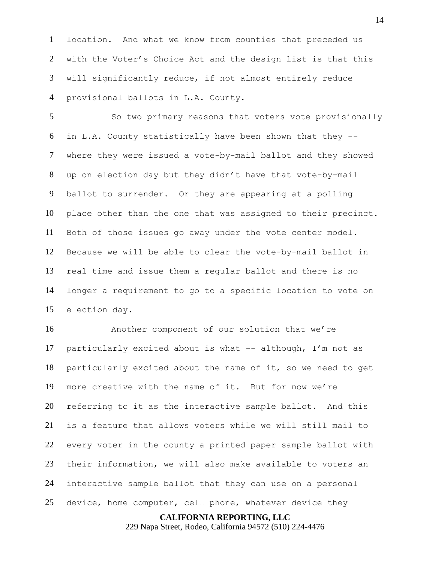location. And what we know from counties that preceded us with the Voter's Choice Act and the design list is that this will significantly reduce, if not almost entirely reduce provisional ballots in L.A. County.

5 So two primary reasons that voters vote provisionally in L.A. County statistically have been shown that they -- where they were issued a vote-by-mail ballot and they showed up on election day but they didn't have that vote-by-mail ballot to surrender. Or they are appearing at a polling place other than the one that was assigned to their precinct. Both of those issues go away under the vote center model. Because we will be able to clear the vote-by-mail ballot in real time and issue them a regular ballot and there is no longer a requirement to go to a specific location to vote on election day.

 Another component of our solution that we're particularly excited about is what -- although, I'm not as particularly excited about the name of it, so we need to get more creative with the name of it. But for now we're referring to it as the interactive sample ballot. And this is a feature that allows voters while we will still mail to every voter in the county a printed paper sample ballot with their information, we will also make available to voters an interactive sample ballot that they can use on a personal device, home computer, cell phone, whatever device they

#### **CALIFORNIA REPORTING, LLC**

229 Napa Street, Rodeo, California 94572 (510) 224-4476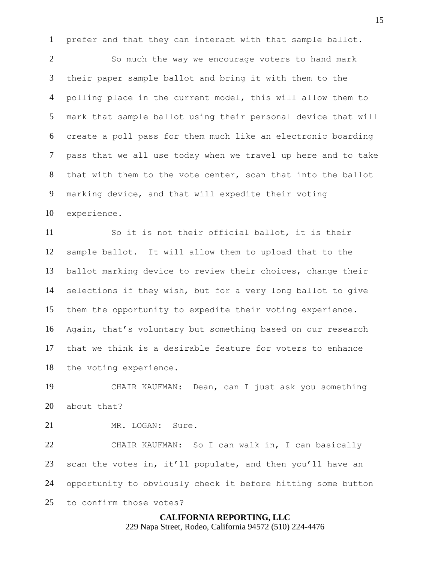prefer and that they can interact with that sample ballot.

 So much the way we encourage voters to hand mark their paper sample ballot and bring it with them to the polling place in the current model, this will allow them to mark that sample ballot using their personal device that will create a poll pass for them much like an electronic boarding pass that we all use today when we travel up here and to take that with them to the vote center, scan that into the ballot marking device, and that will expedite their voting experience.

 So it is not their official ballot, it is their sample ballot. It will allow them to upload that to the ballot marking device to review their choices, change their selections if they wish, but for a very long ballot to give them the opportunity to expedite their voting experience. Again, that's voluntary but something based on our research that we think is a desirable feature for voters to enhance the voting experience.

 CHAIR KAUFMAN: Dean, can I just ask you something about that?

MR. LOGAN: Sure.

 CHAIR KAUFMAN: So I can walk in, I can basically 23 scan the votes in, it'll populate, and then you'll have an opportunity to obviously check it before hitting some button to confirm those votes?

# **CALIFORNIA REPORTING, LLC** 229 Napa Street, Rodeo, California 94572 (510) 224-4476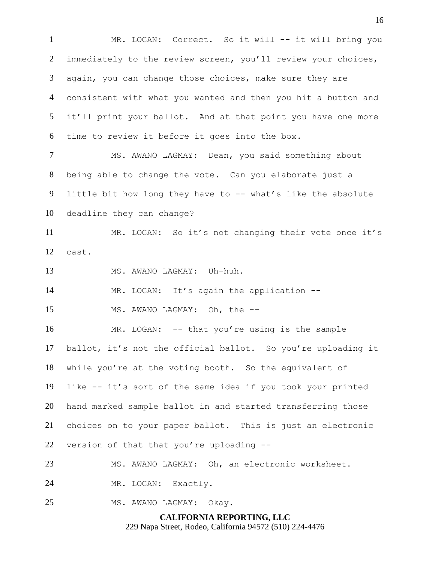**CALIFORNIA REPORTING, LLC** 1 MR. LOGAN: Correct. So it will -- it will bring you immediately to the review screen, you'll review your choices, again, you can change those choices, make sure they are consistent with what you wanted and then you hit a button and it'll print your ballot. And at that point you have one more time to review it before it goes into the box. MS. AWANO LAGMAY: Dean, you said something about being able to change the vote. Can you elaborate just a little bit how long they have to -- what's like the absolute deadline they can change? MR. LOGAN: So it's not changing their vote once it's cast. MS. AWANO LAGMAY: Uh-huh. MR. LOGAN: It's again the application -- 15 MS. AWANO LAGMAY: Oh, the -- MR. LOGAN: -- that you're using is the sample ballot, it's not the official ballot. So you're uploading it while you're at the voting booth. So the equivalent of like -- it's sort of the same idea if you took your printed hand marked sample ballot in and started transferring those choices on to your paper ballot. This is just an electronic version of that that you're uploading -- MS. AWANO LAGMAY: Oh, an electronic worksheet. MR. LOGAN: Exactly. MS. AWANO LAGMAY: Okay.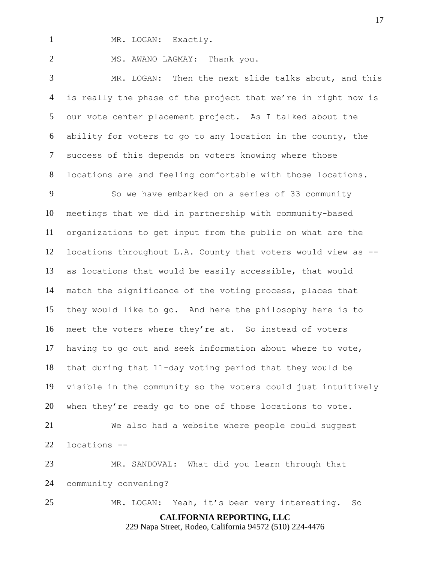1 MR. LOGAN: Exactly.

2 MS. AWANO LAGMAY: Thank you.

 MR. LOGAN: Then the next slide talks about, and this is really the phase of the project that we're in right now is our vote center placement project. As I talked about the ability for voters to go to any location in the county, the success of this depends on voters knowing where those locations are and feeling comfortable with those locations.

 So we have embarked on a series of 33 community meetings that we did in partnership with community-based organizations to get input from the public on what are the locations throughout L.A. County that voters would view as -- as locations that would be easily accessible, that would match the significance of the voting process, places that they would like to go. And here the philosophy here is to meet the voters where they're at. So instead of voters having to go out and seek information about where to vote, that during that 11-day voting period that they would be visible in the community so the voters could just intuitively when they're ready go to one of those locations to vote.

 We also had a website where people could suggest locations --

 MR. SANDOVAL: What did you learn through that community convening?

MR. LOGAN: Yeah, it's been very interesting. So

**CALIFORNIA REPORTING, LLC**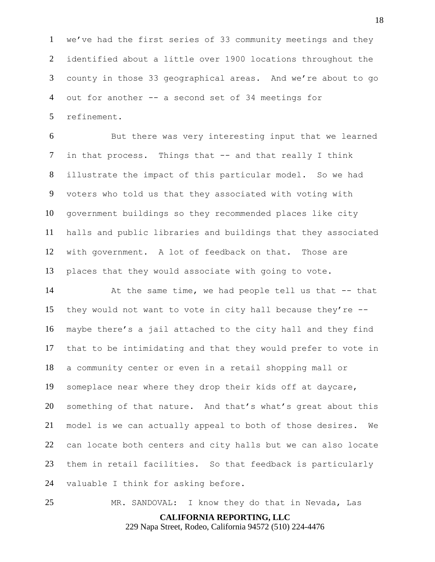we've had the first series of 33 community meetings and they identified about a little over 1900 locations throughout the county in those 33 geographical areas. And we're about to go out for another -- a second set of 34 meetings for refinement.

 But there was very interesting input that we learned 7 in that process. Things that -- and that really I think illustrate the impact of this particular model. So we had voters who told us that they associated with voting with government buildings so they recommended places like city halls and public libraries and buildings that they associated with government. A lot of feedback on that. Those are places that they would associate with going to vote.

 At the same time, we had people tell us that -- that they would not want to vote in city hall because they're -- maybe there's a jail attached to the city hall and they find that to be intimidating and that they would prefer to vote in a community center or even in a retail shopping mall or someplace near where they drop their kids off at daycare, something of that nature. And that's what's great about this model is we can actually appeal to both of those desires. We can locate both centers and city halls but we can also locate them in retail facilities. So that feedback is particularly valuable I think for asking before.

MR. SANDOVAL: I know they do that in Nevada, Las

**CALIFORNIA REPORTING, LLC**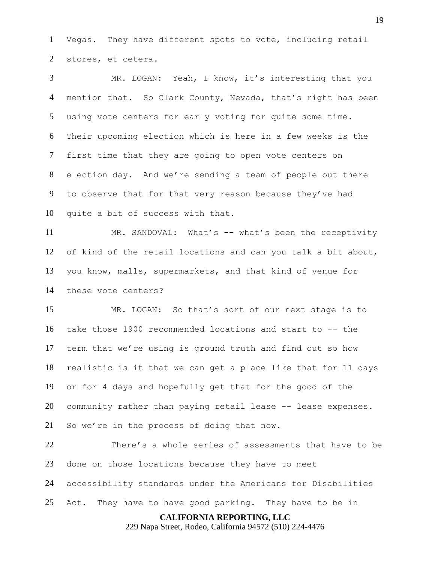Vegas. They have different spots to vote, including retail stores, et cetera.

 MR. LOGAN: Yeah, I know, it's interesting that you 4 mention that. So Clark County, Nevada, that's right has been using vote centers for early voting for quite some time. Their upcoming election which is here in a few weeks is the first time that they are going to open vote centers on election day. And we're sending a team of people out there to observe that for that very reason because they've had quite a bit of success with that.

 MR. SANDOVAL: What's -- what's been the receptivity of kind of the retail locations and can you talk a bit about, you know, malls, supermarkets, and that kind of venue for these vote centers?

 MR. LOGAN: So that's sort of our next stage is to take those 1900 recommended locations and start to -- the term that we're using is ground truth and find out so how realistic is it that we can get a place like that for 11 days or for 4 days and hopefully get that for the good of the 20 community rather than paying retail lease -- lease expenses. So we're in the process of doing that now.

 There's a whole series of assessments that have to be done on those locations because they have to meet accessibility standards under the Americans for Disabilities Act. They have to have good parking. They have to be in

**CALIFORNIA REPORTING, LLC**

229 Napa Street, Rodeo, California 94572 (510) 224-4476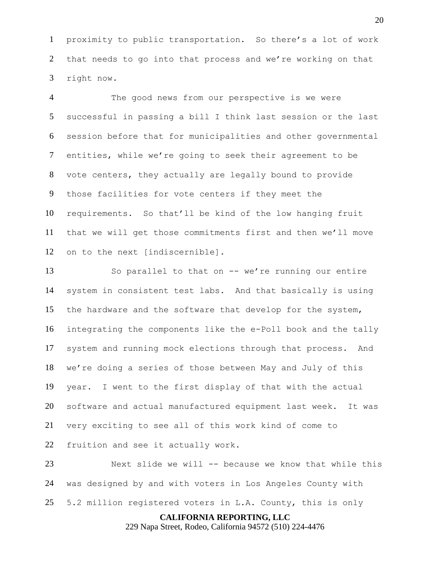proximity to public transportation. So there's a lot of work that needs to go into that process and we're working on that right now.

 The good news from our perspective is we were successful in passing a bill I think last session or the last session before that for municipalities and other governmental entities, while we're going to seek their agreement to be vote centers, they actually are legally bound to provide those facilities for vote centers if they meet the requirements. So that'll be kind of the low hanging fruit that we will get those commitments first and then we'll move on to the next [indiscernible].

 So parallel to that on -- we're running our entire system in consistent test labs. And that basically is using the hardware and the software that develop for the system, integrating the components like the e-Poll book and the tally system and running mock elections through that process. And we're doing a series of those between May and July of this year. I went to the first display of that with the actual software and actual manufactured equipment last week. It was very exciting to see all of this work kind of come to fruition and see it actually work.

 Next slide we will -- because we know that while this was designed by and with voters in Los Angeles County with 5.2 million registered voters in L.A. County, this is only

**CALIFORNIA REPORTING, LLC**

229 Napa Street, Rodeo, California 94572 (510) 224-4476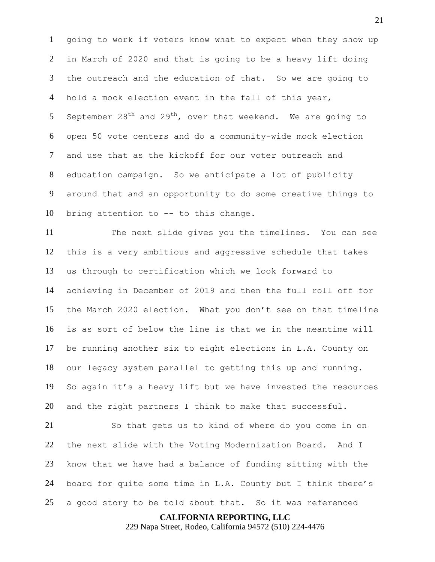going to work if voters know what to expect when they show up in March of 2020 and that is going to be a heavy lift doing the outreach and the education of that. So we are going to hold a mock election event in the fall of this year, 5 September 28<sup>th</sup> and 29<sup>th</sup>, over that weekend. We are going to open 50 vote centers and do a community-wide mock election and use that as the kickoff for our voter outreach and education campaign. So we anticipate a lot of publicity around that and an opportunity to do some creative things to bring attention to -- to this change.

 The next slide gives you the timelines. You can see this is a very ambitious and aggressive schedule that takes us through to certification which we look forward to achieving in December of 2019 and then the full roll off for the March 2020 election. What you don't see on that timeline is as sort of below the line is that we in the meantime will be running another six to eight elections in L.A. County on our legacy system parallel to getting this up and running. So again it's a heavy lift but we have invested the resources and the right partners I think to make that successful.

 So that gets us to kind of where do you come in on the next slide with the Voting Modernization Board. And I know that we have had a balance of funding sitting with the board for quite some time in L.A. County but I think there's a good story to be told about that. So it was referenced

**CALIFORNIA REPORTING, LLC**

229 Napa Street, Rodeo, California 94572 (510) 224-4476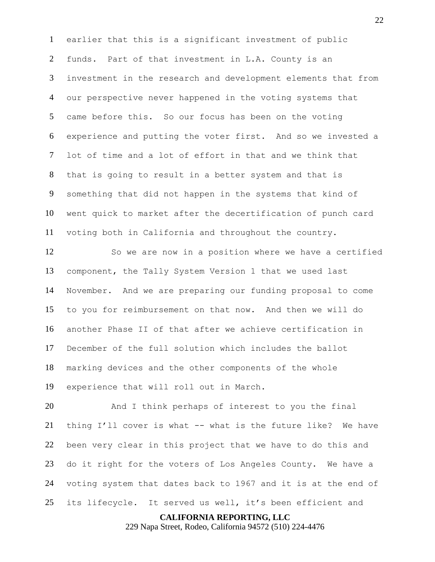earlier that this is a significant investment of public funds. Part of that investment in L.A. County is an investment in the research and development elements that from our perspective never happened in the voting systems that came before this. So our focus has been on the voting experience and putting the voter first. And so we invested a lot of time and a lot of effort in that and we think that that is going to result in a better system and that is something that did not happen in the systems that kind of went quick to market after the decertification of punch card voting both in California and throughout the country.

 So we are now in a position where we have a certified component, the Tally System Version 1 that we used last November. And we are preparing our funding proposal to come to you for reimbursement on that now. And then we will do another Phase II of that after we achieve certification in December of the full solution which includes the ballot marking devices and the other components of the whole experience that will roll out in March.

 And I think perhaps of interest to you the final thing I'll cover is what -- what is the future like? We have been very clear in this project that we have to do this and do it right for the voters of Los Angeles County. We have a voting system that dates back to 1967 and it is at the end of its lifecycle. It served us well, it's been efficient and

**CALIFORNIA REPORTING, LLC**

229 Napa Street, Rodeo, California 94572 (510) 224-4476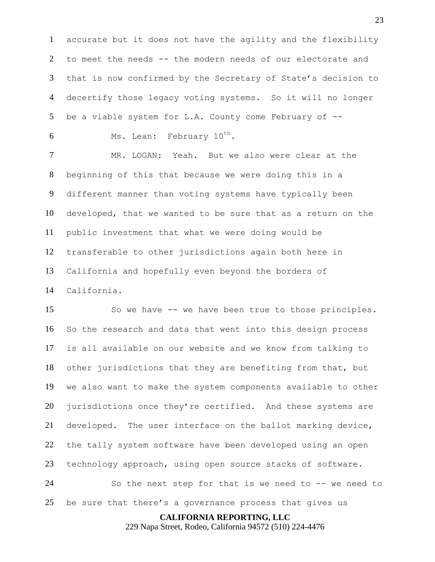accurate but it does not have the agility and the flexibility to meet the needs -- the modern needs of our electorate and that is now confirmed by the Secretary of State's decision to decertify those legacy voting systems. So it will no longer be a viable system for L.A. County come February of --

6 Ms. Lean: February  $10^{th}$ .

 MR. LOGAN: Yeah. But we also were clear at the beginning of this that because we were doing this in a different manner than voting systems have typically been developed, that we wanted to be sure that as a return on the public investment that what we were doing would be transferable to other jurisdictions again both here in California and hopefully even beyond the borders of California.

 So we have -- we have been true to those principles. So the research and data that went into this design process is all available on our website and we know from talking to other jurisdictions that they are benefiting from that, but we also want to make the system components available to other 20 jurisdictions once they're certified. And these systems are developed. The user interface on the ballot marking device, the tally system software have been developed using an open technology approach, using open source stacks of software. So the next step for that is we need to -- we need to

be sure that there's a governance process that gives us

**CALIFORNIA REPORTING, LLC**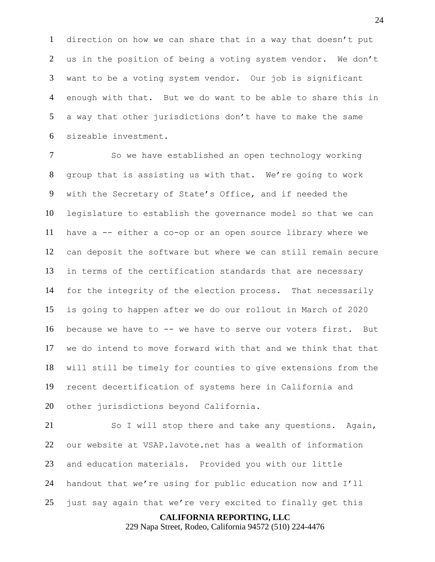direction on how we can share that in a way that doesn't put us in the position of being a voting system vendor. We don't want to be a voting system vendor. Our job is significant enough with that. But we do want to be able to share this in a way that other jurisdictions don't have to make the same sizeable investment.

7 So we have established an open technology working group that is assisting us with that. We're going to work with the Secretary of State's Office, and if needed the legislature to establish the governance model so that we can have a -- either a co-op or an open source library where we can deposit the software but where we can still remain secure in terms of the certification standards that are necessary for the integrity of the election process. That necessarily is going to happen after we do our rollout in March of 2020 because we have to -- we have to serve our voters first. But we do intend to move forward with that and we think that that will still be timely for counties to give extensions from the recent decertification of systems here in California and other jurisdictions beyond California.

 So I will stop there and take any questions. Again, our website at VSAP.lavote.net has a wealth of information and education materials. Provided you with our little handout that we're using for public education now and I'll just say again that we're very excited to finally get this

#### **CALIFORNIA REPORTING, LLC**

229 Napa Street, Rodeo, California 94572 (510) 224-4476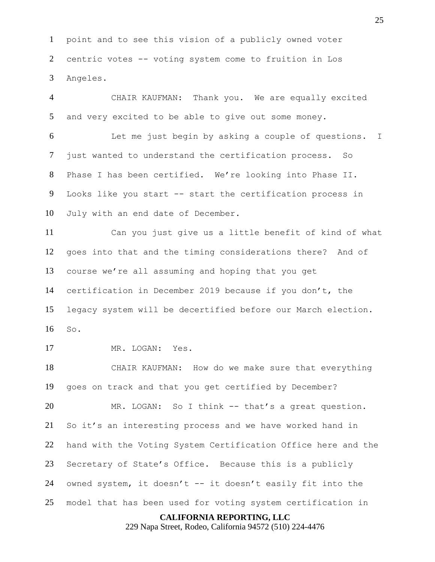point and to see this vision of a publicly owned voter centric votes -- voting system come to fruition in Los Angeles.

 CHAIR KAUFMAN: Thank you. We are equally excited and very excited to be able to give out some money.

 Let me just begin by asking a couple of questions. I just wanted to understand the certification process. So Phase I has been certified. We're looking into Phase II. Looks like you start -- start the certification process in July with an end date of December.

 Can you just give us a little benefit of kind of what goes into that and the timing considerations there? And of course we're all assuming and hoping that you get certification in December 2019 because if you don't, the legacy system will be decertified before our March election. So.

MR. LOGAN: Yes.

 CHAIR KAUFMAN: How do we make sure that everything goes on track and that you get certified by December?

 MR. LOGAN: So I think -- that's a great question. So it's an interesting process and we have worked hand in hand with the Voting System Certification Office here and the Secretary of State's Office. Because this is a publicly owned system, it doesn't -- it doesn't easily fit into the model that has been used for voting system certification in

#### **CALIFORNIA REPORTING, LLC**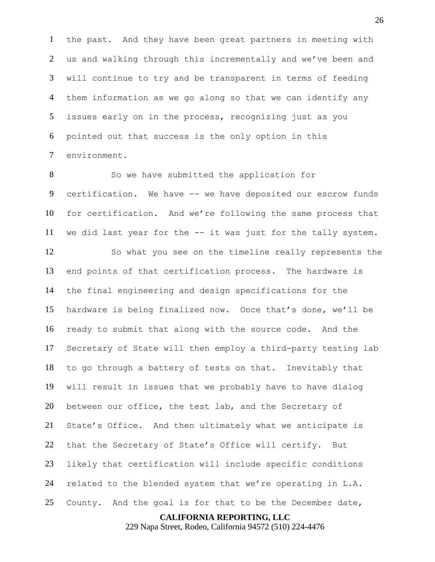the past. And they have been great partners in meeting with us and walking through this incrementally and we've been and will continue to try and be transparent in terms of feeding them information as we go along so that we can identify any issues early on in the process, recognizing just as you pointed out that success is the only option in this environment.

 So we have submitted the application for certification. We have -- we have deposited our escrow funds for certification. And we're following the same process that we did last year for the -- it was just for the tally system.

 So what you see on the timeline really represents the end points of that certification process. The hardware is the final engineering and design specifications for the hardware is being finalized now. Once that's done, we'll be ready to submit that along with the source code. And the Secretary of State will then employ a third-party testing lab to go through a battery of tests on that. Inevitably that will result in issues that we probably have to have dialog between our office, the test lab, and the Secretary of State's Office. And then ultimately what we anticipate is that the Secretary of State's Office will certify. But likely that certification will include specific conditions related to the blended system that we're operating in L.A. County. And the goal is for that to be the December date,

**CALIFORNIA REPORTING, LLC**

229 Napa Street, Rodeo, California 94572 (510) 224-4476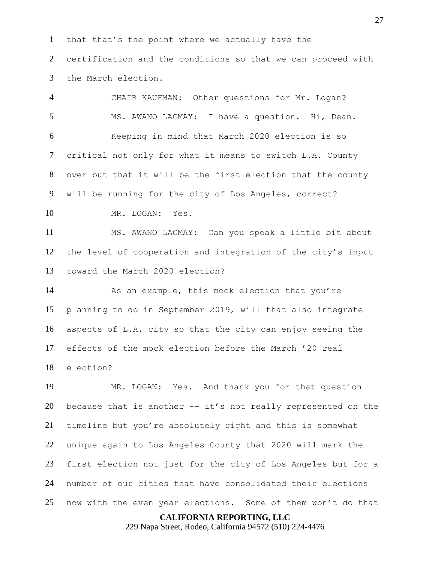that that's the point where we actually have the

 certification and the conditions so that we can proceed with the March election.

 CHAIR KAUFMAN: Other questions for Mr. Logan? MS. AWANO LAGMAY: I have a question. Hi, Dean. Keeping in mind that March 2020 election is so critical not only for what it means to switch L.A. County over but that it will be the first election that the county will be running for the city of Los Angeles, correct?

10 MR. LOGAN: Yes.

 MS. AWANO LAGMAY: Can you speak a little bit about the level of cooperation and integration of the city's input toward the March 2020 election?

 As an example, this mock election that you're planning to do in September 2019, will that also integrate aspects of L.A. city so that the city can enjoy seeing the effects of the mock election before the March '20 real election?

 MR. LOGAN: Yes. And thank you for that question 20 because that is another  $--$  it's not really represented on the timeline but you're absolutely right and this is somewhat unique again to Los Angeles County that 2020 will mark the first election not just for the city of Los Angeles but for a number of our cities that have consolidated their elections now with the even year elections. Some of them won't do that

**CALIFORNIA REPORTING, LLC**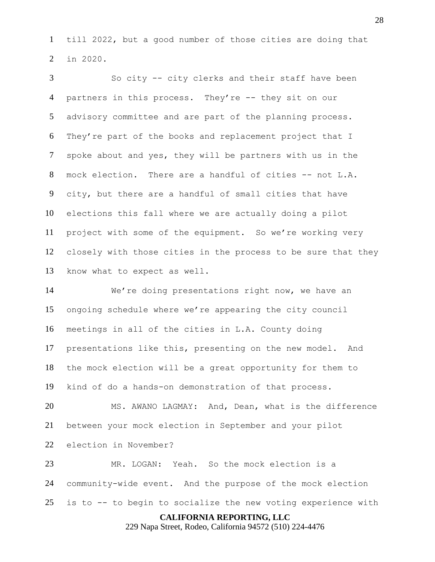till 2022, but a good number of those cities are doing that in 2020.

 So city -- city clerks and their staff have been partners in this process. They're -- they sit on our advisory committee and are part of the planning process. They're part of the books and replacement project that I spoke about and yes, they will be partners with us in the mock election. There are a handful of cities -- not L.A. city, but there are a handful of small cities that have elections this fall where we are actually doing a pilot project with some of the equipment. So we're working very closely with those cities in the process to be sure that they know what to expect as well.

 We're doing presentations right now, we have an ongoing schedule where we're appearing the city council meetings in all of the cities in L.A. County doing presentations like this, presenting on the new model. And the mock election will be a great opportunity for them to kind of do a hands-on demonstration of that process.

 MS. AWANO LAGMAY: And, Dean, what is the difference between your mock election in September and your pilot election in November?

 MR. LOGAN: Yeah. So the mock election is a community-wide event. And the purpose of the mock election is to -- to begin to socialize the new voting experience with

**CALIFORNIA REPORTING, LLC**

229 Napa Street, Rodeo, California 94572 (510) 224-4476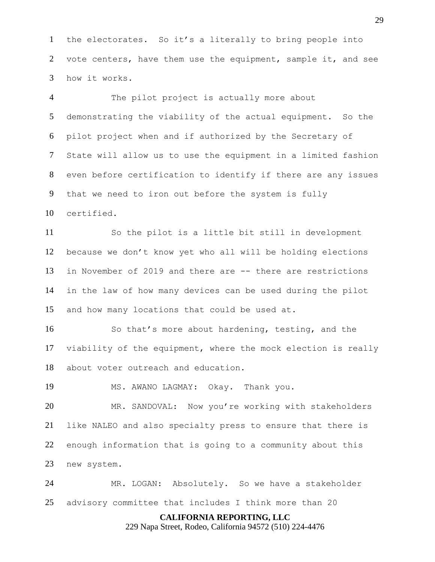the electorates. So it's a literally to bring people into vote centers, have them use the equipment, sample it, and see how it works.

 The pilot project is actually more about demonstrating the viability of the actual equipment. So the pilot project when and if authorized by the Secretary of State will allow us to use the equipment in a limited fashion even before certification to identify if there are any issues that we need to iron out before the system is fully certified.

 So the pilot is a little bit still in development because we don't know yet who all will be holding elections in November of 2019 and there are -- there are restrictions in the law of how many devices can be used during the pilot and how many locations that could be used at.

 So that's more about hardening, testing, and the viability of the equipment, where the mock election is really about voter outreach and education.

MS. AWANO LAGMAY: Okay. Thank you.

 MR. SANDOVAL: Now you're working with stakeholders like NALEO and also specialty press to ensure that there is enough information that is going to a community about this new system.

 MR. LOGAN: Absolutely. So we have a stakeholder advisory committee that includes I think more than 20

**CALIFORNIA REPORTING, LLC**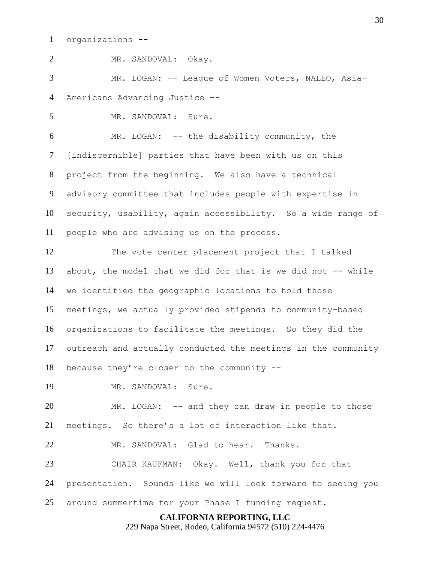organizations --

 MR. LOGAN: -- League of Women Voters, NALEO, Asia-Americans Advancing Justice --

MR. SANDOVAL: Sure.

MR. SANDOVAL: Okay.

 MR. LOGAN: -- the disability community, the [indiscernible] parties that have been with us on this project from the beginning. We also have a technical advisory committee that includes people with expertise in security, usability, again accessibility. So a wide range of people who are advising us on the process.

 The vote center placement project that I talked about, the model that we did for that is we did not -- while we identified the geographic locations to hold those meetings, we actually provided stipends to community-based organizations to facilitate the meetings. So they did the outreach and actually conducted the meetings in the community

because they're closer to the community --

MR. SANDOVAL: Sure.

 MR. LOGAN: -- and they can draw in people to those meetings. So there's a lot of interaction like that.

MR. SANDOVAL: Glad to hear. Thanks.

 CHAIR KAUFMAN: Okay. Well, thank you for that presentation. Sounds like we will look forward to seeing you around summertime for your Phase I funding request.

#### **CALIFORNIA REPORTING, LLC**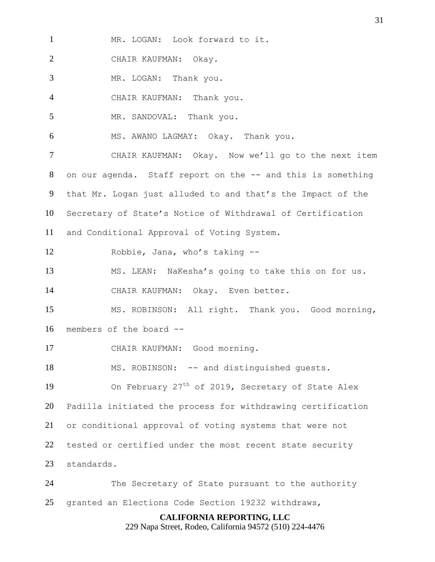MR. LOGAN: Look forward to it.

CHAIR KAUFMAN: Okay.

MR. LOGAN: Thank you.

CHAIR KAUFMAN: Thank you.

5 MR. SANDOVAL: Thank you.

MS. AWANO LAGMAY: Okay. Thank you.

 CHAIR KAUFMAN: Okay. Now we'll go to the next item on our agenda. Staff report on the -- and this is something that Mr. Logan just alluded to and that's the Impact of the Secretary of State's Notice of Withdrawal of Certification

and Conditional Approval of Voting System.

Robbie, Jana, who's taking --

MS. LEAN: NaKesha's going to take this on for us.

CHAIR KAUFMAN: Okay. Even better.

 MS. ROBINSON: All right. Thank you. Good morning, members of the board --

CHAIR KAUFMAN: Good morning.

18 MS. ROBINSON: -- and distinguished quests.

19 On February  $27<sup>th</sup>$  of 2019, Secretary of State Alex Padilla initiated the process for withdrawing certification or conditional approval of voting systems that were not tested or certified under the most recent state security standards.

 The Secretary of State pursuant to the authority granted an Elections Code Section 19232 withdraws,

# **CALIFORNIA REPORTING, LLC**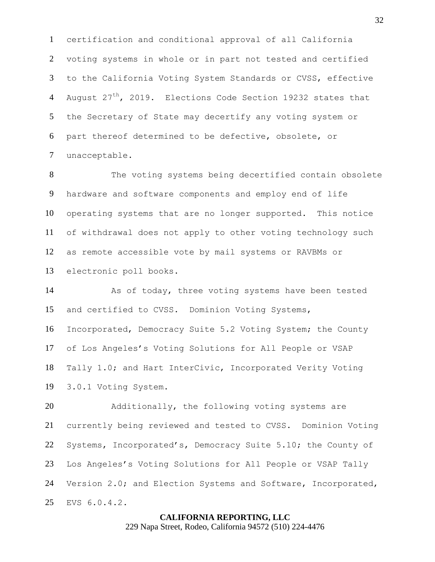certification and conditional approval of all California voting systems in whole or in part not tested and certified to the California Voting System Standards or CVSS, effective 4 August  $27<sup>th</sup>$ , 2019. Elections Code Section 19232 states that the Secretary of State may decertify any voting system or part thereof determined to be defective, obsolete, or unacceptable.

 The voting systems being decertified contain obsolete hardware and software components and employ end of life operating systems that are no longer supported. This notice of withdrawal does not apply to other voting technology such as remote accessible vote by mail systems or RAVBMs or electronic poll books.

14 As of today, three voting systems have been tested and certified to CVSS. Dominion Voting Systems, Incorporated, Democracy Suite 5.2 Voting System; the County of Los Angeles's Voting Solutions for All People or VSAP Tally 1.0; and Hart InterCivic, Incorporated Verity Voting 3.0.1 Voting System.

20 Additionally, the following voting systems are currently being reviewed and tested to CVSS. Dominion Voting Systems, Incorporated's, Democracy Suite 5.10; the County of Los Angeles's Voting Solutions for All People or VSAP Tally Version 2.0; and Election Systems and Software, Incorporated, EVS 6.0.4.2.

# **CALIFORNIA REPORTING, LLC**

229 Napa Street, Rodeo, California 94572 (510) 224-4476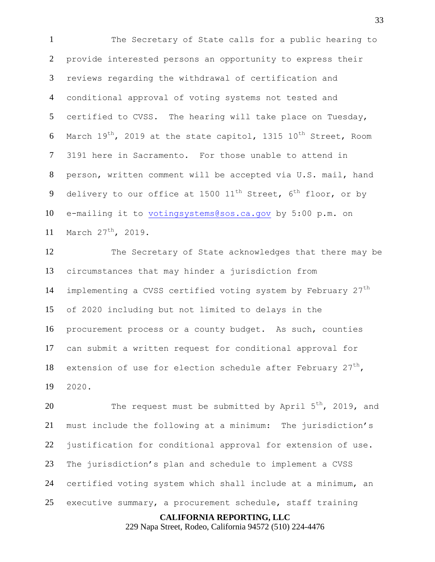The Secretary of State calls for a public hearing to provide interested persons an opportunity to express their reviews regarding the withdrawal of certification and conditional approval of voting systems not tested and certified to CVSS. The hearing will take place on Tuesday, 6 March  $19^{th}$ , 2019 at the state capitol, 1315  $10^{th}$  Street, Room 3191 here in Sacramento. For those unable to attend in person, written comment will be accepted via U.S. mail, hand 9 delivery to our office at 1500  $11^{\text{th}}$  Street,  $6^{\text{th}}$  floor, or by e-mailing it to [votingsystems@sos.ca.gov](mailto:votingsystems@sos.ca.gov) by 5:00 p.m. on 11 March  $27^{th}$ , 2019.

 The Secretary of State acknowledges that there may be circumstances that may hinder a jurisdiction from 14 implementing a CVSS certified voting system by February  $27<sup>th</sup>$  of 2020 including but not limited to delays in the procurement process or a county budget. As such, counties can submit a written request for conditional approval for 18 extension of use for election schedule after February  $27<sup>th</sup>$ , 2020.

20 The request must be submitted by April  $5<sup>th</sup>$ , 2019, and must include the following at a minimum: The jurisdiction's justification for conditional approval for extension of use. The jurisdiction's plan and schedule to implement a CVSS certified voting system which shall include at a minimum, an executive summary, a procurement schedule, staff training

**CALIFORNIA REPORTING, LLC**

229 Napa Street, Rodeo, California 94572 (510) 224-4476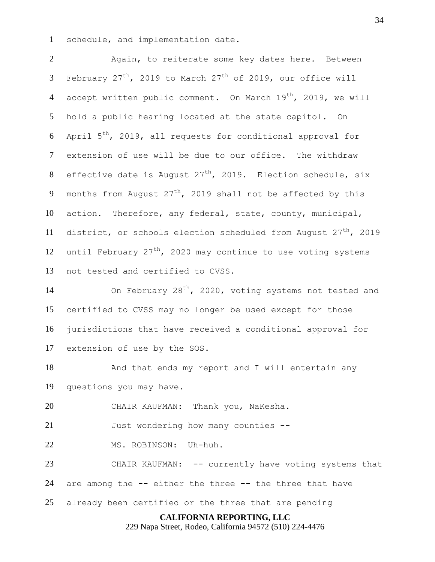1 schedule, and implementation date.

2 Again, to reiterate some key dates here. Between 3 February  $27^{th}$ , 2019 to March  $27^{th}$  of 2019, our office will 4 accept written public comment. On March  $19^{th}$ , 2019, we will 5 hold a public hearing located at the state capitol. On 6 April  $5^{\text{th}}$ , 2019, all requests for conditional approval for 7 extension of use will be due to our office. The withdraw 8 effective date is August  $27<sup>th</sup>$ , 2019. Election schedule, six 9 months from August  $27^{th}$ , 2019 shall not be affected by this 10 action. Therefore, any federal, state, county, municipal, 11 district, or schools election scheduled from August  $27<sup>th</sup>$ , 2019 12 until February  $27<sup>th</sup>$ , 2020 may continue to use voting systems 13 not tested and certified to CVSS.

14 On February 28<sup>th</sup>, 2020, voting systems not tested and certified to CVSS may no longer be used except for those jurisdictions that have received a conditional approval for extension of use by the SOS.

18 And that ends my report and I will entertain any 19 questions you may have.

20 CHAIR KAUFMAN: Thank you, NaKesha.

21 Just wondering how many counties --

22 MS. ROBINSON: Uh-huh.

23 CHAIR KAUFMAN: -- currently have voting systems that 24 are among the -- either the three -- the three that have

25 already been certified or the three that are pending

# **CALIFORNIA REPORTING, LLC**

229 Napa Street, Rodeo, California 94572 (510) 224-4476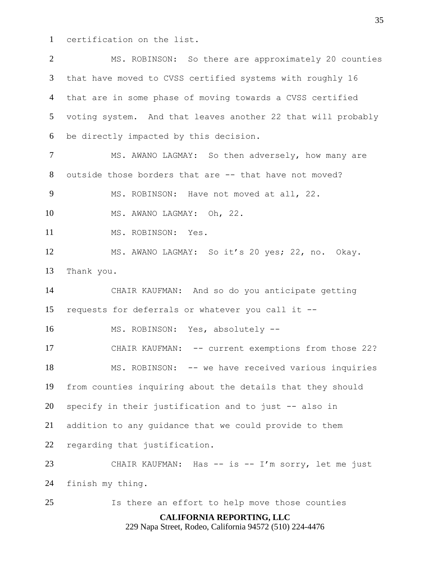certification on the list.

**CALIFORNIA REPORTING, LLC** 229 Napa Street, Rodeo, California 94572 (510) 224-4476 MS. ROBINSON: So there are approximately 20 counties that have moved to CVSS certified systems with roughly 16 that are in some phase of moving towards a CVSS certified voting system. And that leaves another 22 that will probably be directly impacted by this decision. 7 MS. AWANO LAGMAY: So then adversely, how many are outside those borders that are -- that have not moved? MS. ROBINSON: Have not moved at all, 22. MS. AWANO LAGMAY: Oh, 22. MS. ROBINSON: Yes. MS. AWANO LAGMAY: So it's 20 yes; 22, no. Okay. Thank you. CHAIR KAUFMAN: And so do you anticipate getting requests for deferrals or whatever you call it -- MS. ROBINSON: Yes, absolutely -- CHAIR KAUFMAN: -- current exemptions from those 22? MS. ROBINSON: -- we have received various inquiries from counties inquiring about the details that they should specify in their justification and to just -- also in addition to any guidance that we could provide to them regarding that justification. 23 CHAIR KAUFMAN: Has -- is -- I'm sorry, let me just finish my thing. Is there an effort to help move those counties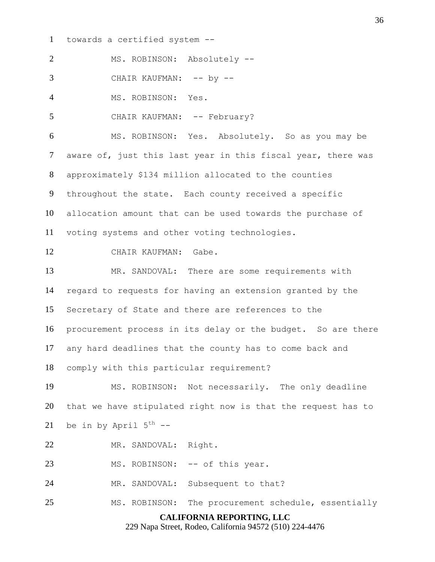towards a certified system --

MS. ROBINSON: Absolutely --

3 CHAIR KAUFMAN: -- by --

MS. ROBINSON: Yes.

5 CHAIR KAUFMAN: -- February?

 MS. ROBINSON: Yes. Absolutely. So as you may be 7 aware of, just this last year in this fiscal year, there was approximately \$134 million allocated to the counties throughout the state. Each county received a specific allocation amount that can be used towards the purchase of voting systems and other voting technologies.

CHAIR KAUFMAN: Gabe.

 MR. SANDOVAL: There are some requirements with regard to requests for having an extension granted by the Secretary of State and there are references to the procurement process in its delay or the budget. So are there any hard deadlines that the county has to come back and comply with this particular requirement?

 MS. ROBINSON: Not necessarily. The only deadline that we have stipulated right now is that the request has to 21 be in by April  $5^{th}$  --

MR. SANDOVAL: Right.

23 MS. ROBINSON: -- of this year.

24 MR. SANDOVAL: Subsequent to that?

MS. ROBINSON: The procurement schedule, essentially

# **CALIFORNIA REPORTING, LLC**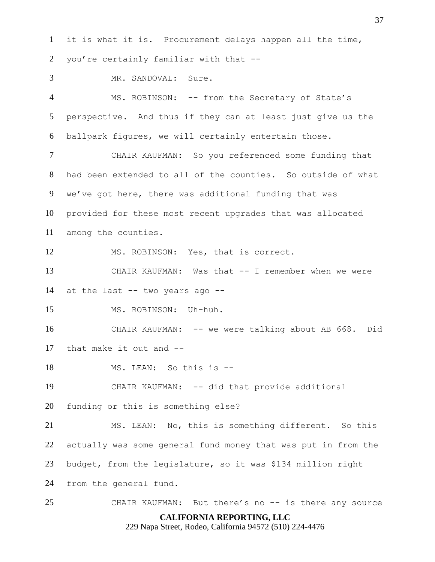it is what it is. Procurement delays happen all the time, you're certainly familiar with that --

MR. SANDOVAL: Sure.

4 MS. ROBINSON: -- from the Secretary of State's perspective. And thus if they can at least just give us the ballpark figures, we will certainly entertain those.

 CHAIR KAUFMAN: So you referenced some funding that had been extended to all of the counties. So outside of what we've got here, there was additional funding that was provided for these most recent upgrades that was allocated among the counties.

MS. ROBINSON: Yes, that is correct.

 CHAIR KAUFMAN: Was that -- I remember when we were at the last -- two years ago --

MS. ROBINSON: Uh-huh.

 CHAIR KAUFMAN: -- we were talking about AB 668. Did that make it out and --

MS. LEAN: So this is --

CHAIR KAUFMAN: -- did that provide additional

funding or this is something else?

 MS. LEAN: No, this is something different. So this actually was some general fund money that was put in from the budget, from the legislature, so it was \$134 million right from the general fund.

25 CHAIR KAUFMAN: But there's no -- is there any source

# **CALIFORNIA REPORTING, LLC**

229 Napa Street, Rodeo, California 94572 (510) 224-4476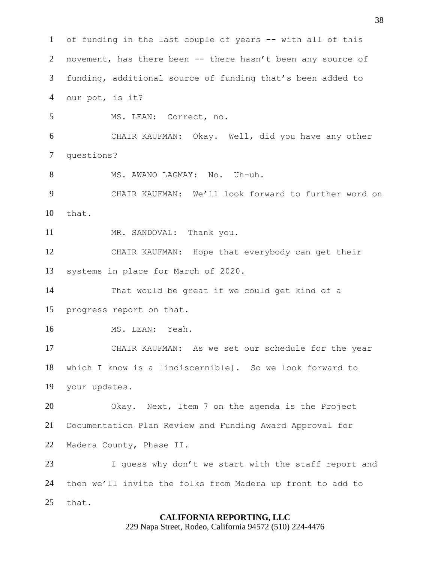of funding in the last couple of years -- with all of this 2 movement, has there been -- there hasn't been any source of funding, additional source of funding that's been added to our pot, is it? MS. LEAN: Correct, no. CHAIR KAUFMAN: Okay. Well, did you have any other questions? 8 MS. AWANO LAGMAY: No. Uh-uh. CHAIR KAUFMAN: We'll look forward to further word on that. 11 MR. SANDOVAL: Thank you. CHAIR KAUFMAN: Hope that everybody can get their systems in place for March of 2020. That would be great if we could get kind of a progress report on that. MS. LEAN: Yeah. CHAIR KAUFMAN: As we set our schedule for the year which I know is a [indiscernible]. So we look forward to your updates. Okay. Next, Item 7 on the agenda is the Project Documentation Plan Review and Funding Award Approval for Madera County, Phase II. I guess why don't we start with the staff report and then we'll invite the folks from Madera up front to add to that.

#### **CALIFORNIA REPORTING, LLC**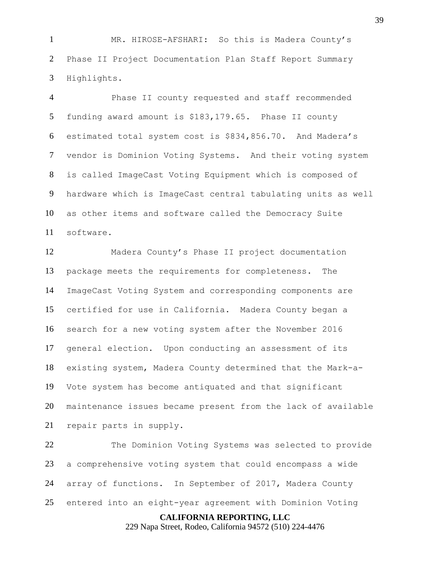MR. HIROSE-AFSHARI: So this is Madera County's Phase II Project Documentation Plan Staff Report Summary Highlights.

 Phase II county requested and staff recommended funding award amount is \$183,179.65. Phase II county estimated total system cost is \$834,856.70. And Madera's vendor is Dominion Voting Systems. And their voting system is called ImageCast Voting Equipment which is composed of hardware which is ImageCast central tabulating units as well as other items and software called the Democracy Suite software.

 Madera County's Phase II project documentation package meets the requirements for completeness. The ImageCast Voting System and corresponding components are certified for use in California. Madera County began a search for a new voting system after the November 2016 general election. Upon conducting an assessment of its existing system, Madera County determined that the Mark-a- Vote system has become antiquated and that significant maintenance issues became present from the lack of available repair parts in supply.

 The Dominion Voting Systems was selected to provide a comprehensive voting system that could encompass a wide array of functions. In September of 2017, Madera County entered into an eight-year agreement with Dominion Voting

**CALIFORNIA REPORTING, LLC**

229 Napa Street, Rodeo, California 94572 (510) 224-4476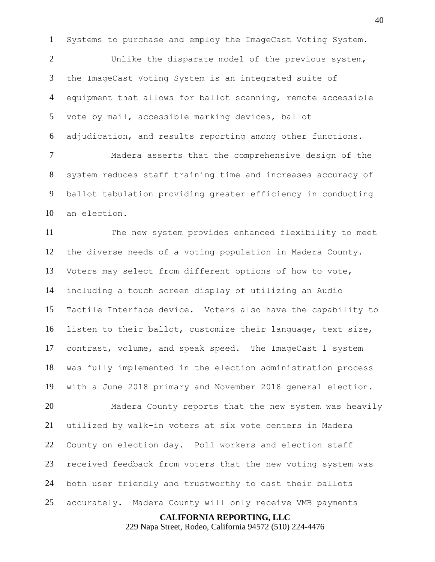Systems to purchase and employ the ImageCast Voting System.

 Unlike the disparate model of the previous system, the ImageCast Voting System is an integrated suite of equipment that allows for ballot scanning, remote accessible vote by mail, accessible marking devices, ballot adjudication, and results reporting among other functions.

 Madera asserts that the comprehensive design of the system reduces staff training time and increases accuracy of ballot tabulation providing greater efficiency in conducting an election.

 The new system provides enhanced flexibility to meet the diverse needs of a voting population in Madera County. Voters may select from different options of how to vote, including a touch screen display of utilizing an Audio Tactile Interface device. Voters also have the capability to listen to their ballot, customize their language, text size, contrast, volume, and speak speed. The ImageCast 1 system was fully implemented in the election administration process with a June 2018 primary and November 2018 general election.

 Madera County reports that the new system was heavily utilized by walk-in voters at six vote centers in Madera County on election day. Poll workers and election staff received feedback from voters that the new voting system was both user friendly and trustworthy to cast their ballots accurately. Madera County will only receive VMB payments

**CALIFORNIA REPORTING, LLC**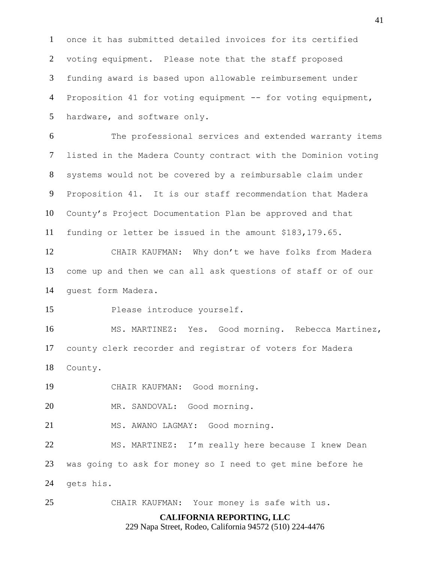once it has submitted detailed invoices for its certified voting equipment. Please note that the staff proposed funding award is based upon allowable reimbursement under Proposition 41 for voting equipment -- for voting equipment, hardware, and software only.

 The professional services and extended warranty items listed in the Madera County contract with the Dominion voting systems would not be covered by a reimbursable claim under Proposition 41. It is our staff recommendation that Madera County's Project Documentation Plan be approved and that funding or letter be issued in the amount \$183,179.65.

 CHAIR KAUFMAN: Why don't we have folks from Madera come up and then we can all ask questions of staff or of our guest form Madera.

Please introduce yourself.

 MS. MARTINEZ: Yes. Good morning. Rebecca Martinez, county clerk recorder and registrar of voters for Madera County.

CHAIR KAUFMAN: Good morning.

MR. SANDOVAL: Good morning.

21 MS. AWANO LAGMAY: Good morning.

 MS. MARTINEZ: I'm really here because I knew Dean was going to ask for money so I need to get mine before he gets his.

CHAIR KAUFMAN: Your money is safe with us.

## **CALIFORNIA REPORTING, LLC**

229 Napa Street, Rodeo, California 94572 (510) 224-4476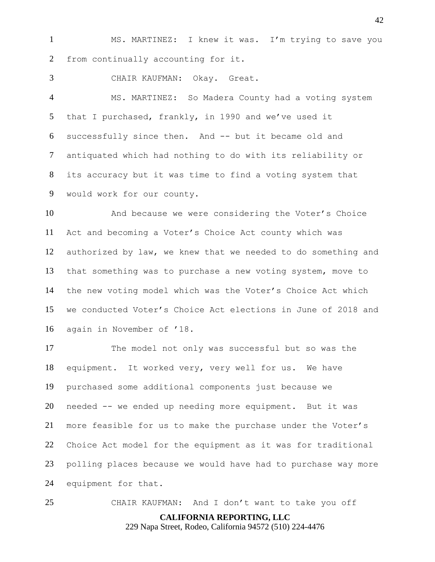MS. MARTINEZ: I knew it was. I'm trying to save you from continually accounting for it.

CHAIR KAUFMAN: Okay. Great.

 MS. MARTINEZ: So Madera County had a voting system that I purchased, frankly, in 1990 and we've used it successfully since then. And -- but it became old and antiquated which had nothing to do with its reliability or its accuracy but it was time to find a voting system that would work for our county.

 And because we were considering the Voter's Choice Act and becoming a Voter's Choice Act county which was authorized by law, we knew that we needed to do something and that something was to purchase a new voting system, move to the new voting model which was the Voter's Choice Act which we conducted Voter's Choice Act elections in June of 2018 and again in November of '18.

 The model not only was successful but so was the equipment. It worked very, very well for us. We have purchased some additional components just because we needed -- we ended up needing more equipment. But it was more feasible for us to make the purchase under the Voter's Choice Act model for the equipment as it was for traditional polling places because we would have had to purchase way more equipment for that.

CHAIR KAUFMAN: And I don't want to take you off

**CALIFORNIA REPORTING, LLC**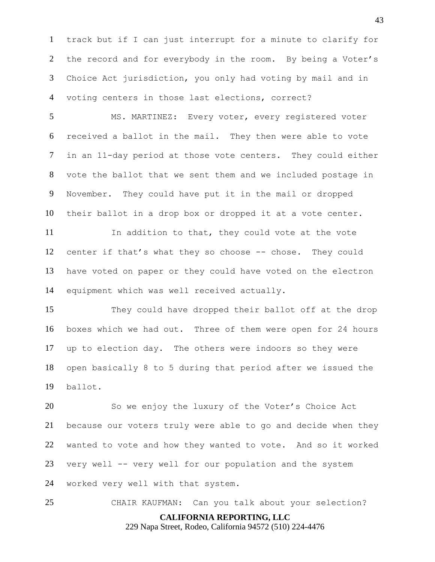track but if I can just interrupt for a minute to clarify for the record and for everybody in the room. By being a Voter's Choice Act jurisdiction, you only had voting by mail and in voting centers in those last elections, correct?

 MS. MARTINEZ: Every voter, every registered voter received a ballot in the mail. They then were able to vote in an 11-day period at those vote centers. They could either vote the ballot that we sent them and we included postage in November. They could have put it in the mail or dropped their ballot in a drop box or dropped it at a vote center.

 In addition to that, they could vote at the vote center if that's what they so choose -- chose. They could have voted on paper or they could have voted on the electron equipment which was well received actually.

 They could have dropped their ballot off at the drop boxes which we had out. Three of them were open for 24 hours up to election day. The others were indoors so they were open basically 8 to 5 during that period after we issued the ballot.

 So we enjoy the luxury of the Voter's Choice Act because our voters truly were able to go and decide when they wanted to vote and how they wanted to vote. And so it worked very well -- very well for our population and the system worked very well with that system.

**CALIFORNIA REPORTING, LLC** CHAIR KAUFMAN: Can you talk about your selection?

229 Napa Street, Rodeo, California 94572 (510) 224-4476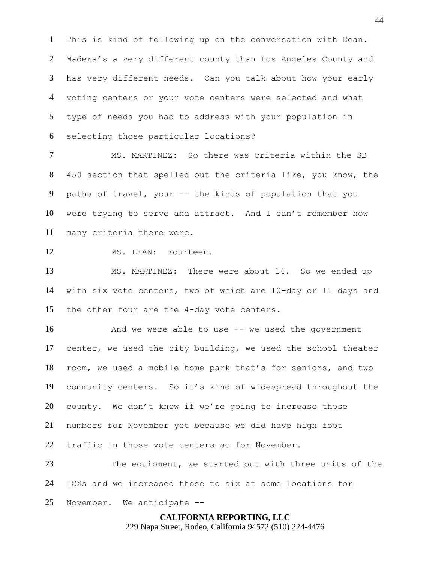This is kind of following up on the conversation with Dean. Madera's a very different county than Los Angeles County and has very different needs. Can you talk about how your early voting centers or your vote centers were selected and what type of needs you had to address with your population in selecting those particular locations?

 MS. MARTINEZ: So there was criteria within the SB 450 section that spelled out the criteria like, you know, the paths of travel, your -- the kinds of population that you were trying to serve and attract. And I can't remember how many criteria there were.

12 MS. LEAN: Fourteen.

 MS. MARTINEZ: There were about 14. So we ended up with six vote centers, two of which are 10-day or 11 days and the other four are the 4-day vote centers.

16 And we were able to use -- we used the government center, we used the city building, we used the school theater room, we used a mobile home park that's for seniors, and two community centers. So it's kind of widespread throughout the county. We don't know if we're going to increase those numbers for November yet because we did have high foot traffic in those vote centers so for November.

 The equipment, we started out with three units of the ICXs and we increased those to six at some locations for November. We anticipate --

> **CALIFORNIA REPORTING, LLC** 229 Napa Street, Rodeo, California 94572 (510) 224-4476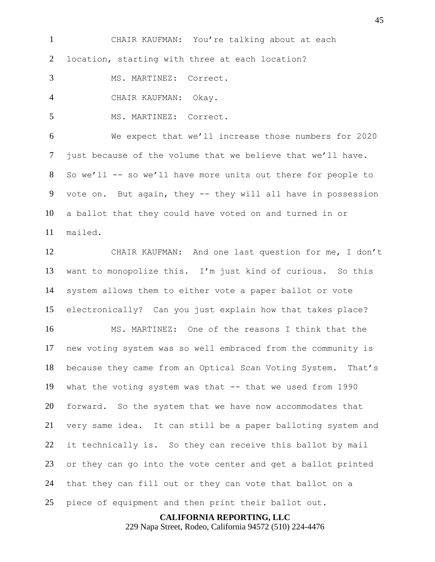CHAIR KAUFMAN: You're talking about at each location, starting with three at each location? MS. MARTINEZ: Correct. CHAIR KAUFMAN: Okay. MS. MARTINEZ: Correct. We expect that we'll increase those numbers for 2020 just because of the volume that we believe that we'll have.

 So we'll -- so we'll have more units out there for people to 9 vote on. But again, they -- they will all have in possession a ballot that they could have voted on and turned in or mailed.

 CHAIR KAUFMAN: And one last question for me, I don't want to monopolize this. I'm just kind of curious. So this system allows them to either vote a paper ballot or vote electronically? Can you just explain how that takes place?

 MS. MARTINEZ: One of the reasons I think that the new voting system was so well embraced from the community is because they came from an Optical Scan Voting System. That's what the voting system was that -- that we used from 1990 forward. So the system that we have now accommodates that very same idea. It can still be a paper balloting system and it technically is. So they can receive this ballot by mail or they can go into the vote center and get a ballot printed that they can fill out or they can vote that ballot on a piece of equipment and then print their ballot out.

**CALIFORNIA REPORTING, LLC**

229 Napa Street, Rodeo, California 94572 (510) 224-4476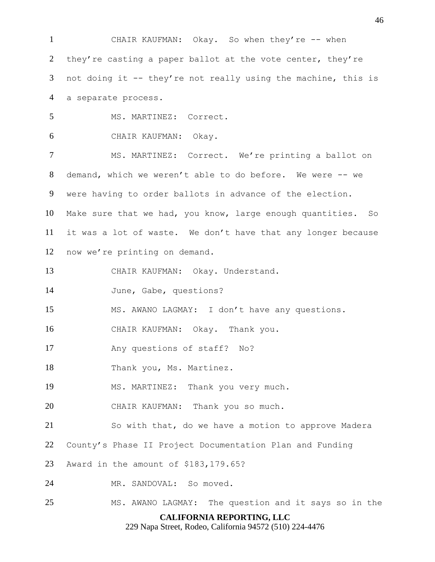**CALIFORNIA REPORTING, LLC** 229 Napa Street, Rodeo, California 94572 (510) 224-4476 CHAIR KAUFMAN: Okay. So when they're -- when 2 they're casting a paper ballot at the vote center, they're not doing it -- they're not really using the machine, this is a separate process. MS. MARTINEZ: Correct. CHAIR KAUFMAN: Okay. 7 MS. MARTINEZ: Correct. We're printing a ballot on demand, which we weren't able to do before. We were -- we were having to order ballots in advance of the election. Make sure that we had, you know, large enough quantities. So it was a lot of waste. We don't have that any longer because now we're printing on demand. CHAIR KAUFMAN: Okay. Understand. June, Gabe, questions? MS. AWANO LAGMAY: I don't have any questions. CHAIR KAUFMAN: Okay. Thank you. Any questions of staff? No? 18 Thank you, Ms. Martinez. MS. MARTINEZ: Thank you very much. CHAIR KAUFMAN: Thank you so much. So with that, do we have a motion to approve Madera County's Phase II Project Documentation Plan and Funding Award in the amount of \$183,179.65? MR. SANDOVAL: So moved. MS. AWANO LAGMAY: The question and it says so in the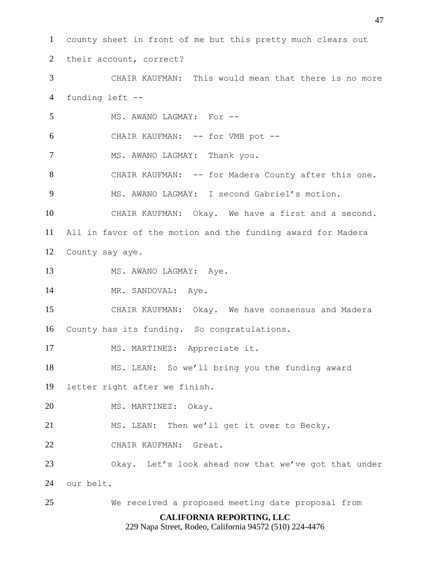**CALIFORNIA REPORTING, LLC** county sheet in front of me but this pretty much clears out their account, correct? CHAIR KAUFMAN: This would mean that there is no more funding left -- 5 MS. AWANO LAGMAY: For -- CHAIR KAUFMAN: -- for VMB pot -- 7 MS. AWANO LAGMAY: Thank you. CHAIR KAUFMAN: -- for Madera County after this one. MS. AWANO LAGMAY: I second Gabriel's motion. CHAIR KAUFMAN: Okay. We have a first and a second. All in favor of the motion and the funding award for Madera County say aye. 13 MS. AWANO LAGMAY: Aye. 14 MR. SANDOVAL: Aye. CHAIR KAUFMAN: Okay. We have consensus and Madera County has its funding. So congratulations. MS. MARTINEZ: Appreciate it. MS. LEAN: So we'll bring you the funding award letter right after we finish. MS. MARTINEZ: Okay. MS. LEAN: Then we'll get it over to Becky. CHAIR KAUFMAN: Great. Okay. Let's look ahead now that we've got that under our belt. We received a proposed meeting date proposal from

229 Napa Street, Rodeo, California 94572 (510) 224-4476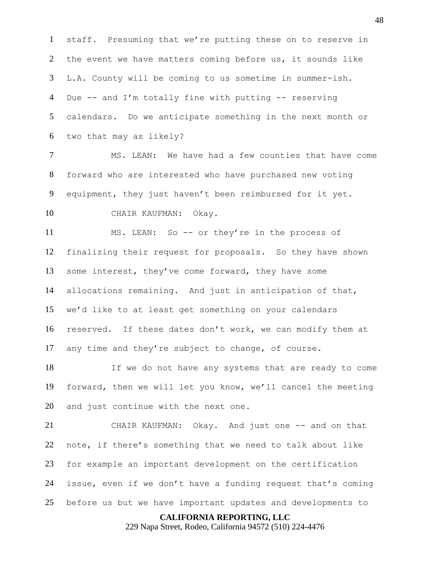staff. Presuming that we're putting these on to reserve in the event we have matters coming before us, it sounds like L.A. County will be coming to us sometime in summer-ish. Due -- and I'm totally fine with putting -- reserving calendars. Do we anticipate something in the next month or two that may as likely?

 MS. LEAN: We have had a few counties that have come forward who are interested who have purchased new voting equipment, they just haven't been reimbursed for it yet.

CHAIR KAUFMAN: Okay.

 MS. LEAN: So -- or they're in the process of finalizing their request for proposals. So they have shown some interest, they've come forward, they have some allocations remaining. And just in anticipation of that, we'd like to at least get something on your calendars reserved. If these dates don't work, we can modify them at any time and they're subject to change, of course.

 If we do not have any systems that are ready to come forward, then we will let you know, we'll cancel the meeting and just continue with the next one.

 CHAIR KAUFMAN: Okay. And just one -- and on that note, if there's something that we need to talk about like for example an important development on the certification issue, even if we don't have a funding request that's coming before us but we have important updates and developments to

#### **CALIFORNIA REPORTING, LLC**

229 Napa Street, Rodeo, California 94572 (510) 224-4476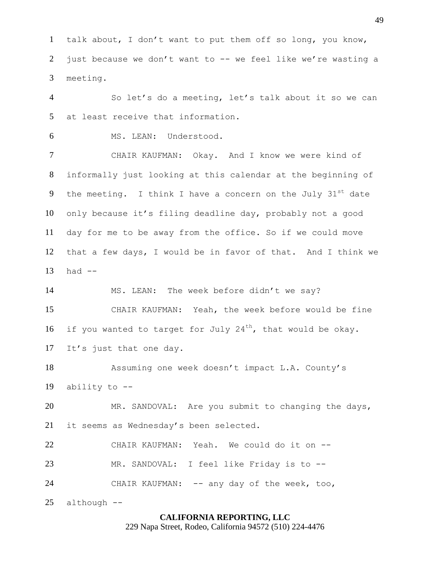talk about, I don't want to put them off so long, you know, just because we don't want to -- we feel like we're wasting a meeting.

 So let's do a meeting, let's talk about it so we can at least receive that information.

MS. LEAN: Understood.

 CHAIR KAUFMAN: Okay. And I know we were kind of informally just looking at this calendar at the beginning of 9 the meeting. I think I have a concern on the July  $31^{st}$  date only because it's filing deadline day, probably not a good day for me to be away from the office. So if we could move that a few days, I would be in favor of that. And I think we had  $-$ 

 MS. LEAN: The week before didn't we say? CHAIR KAUFMAN: Yeah, the week before would be fine 16 if you wanted to target for July 24<sup>th</sup>, that would be okay. It's just that one day.

 Assuming one week doesn't impact L.A. County's ability to --

 MR. SANDOVAL: Are you submit to changing the days, it seems as Wednesday's been selected.

 CHAIR KAUFMAN: Yeah. We could do it on -- MR. SANDOVAL: I feel like Friday is to -- CHAIR KAUFMAN: -- any day of the week, too,

although --

#### **CALIFORNIA REPORTING, LLC**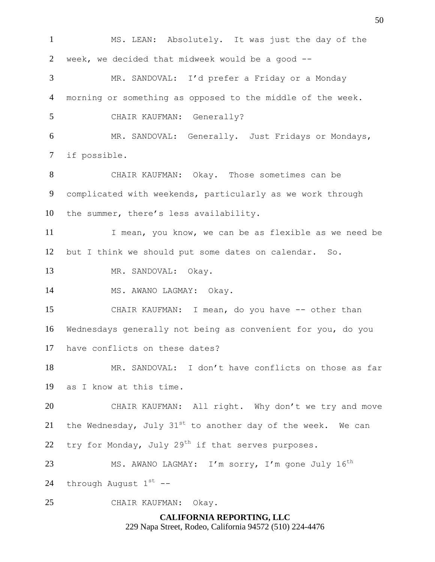**CALIFORNIA REPORTING, LLC** 229 Napa Street, Rodeo, California 94572 (510) 224-4476 MS. LEAN: Absolutely. It was just the day of the week, we decided that midweek would be a good -- MR. SANDOVAL: I'd prefer a Friday or a Monday morning or something as opposed to the middle of the week. CHAIR KAUFMAN: Generally? MR. SANDOVAL: Generally. Just Fridays or Mondays, if possible. CHAIR KAUFMAN: Okay. Those sometimes can be complicated with weekends, particularly as we work through the summer, there's less availability. 11 I mean, you know, we can be as flexible as we need be but I think we should put some dates on calendar. So. MR. SANDOVAL: Okay. 14 MS. AWANO LAGMAY: Okay. CHAIR KAUFMAN: I mean, do you have -- other than Wednesdays generally not being as convenient for you, do you have conflicts on these dates? MR. SANDOVAL: I don't have conflicts on those as far as I know at this time. CHAIR KAUFMAN: All right. Why don't we try and move 21 the Wednesday, July  $31^{st}$  to another day of the week. We can 22 try for Monday, July  $29<sup>th</sup>$  if that serves purposes. 23 MS. AWANO LAGMAY: I'm sorry, I'm gone July 16<sup>th</sup> 24 through August  $1^{st}$  --CHAIR KAUFMAN: Okay.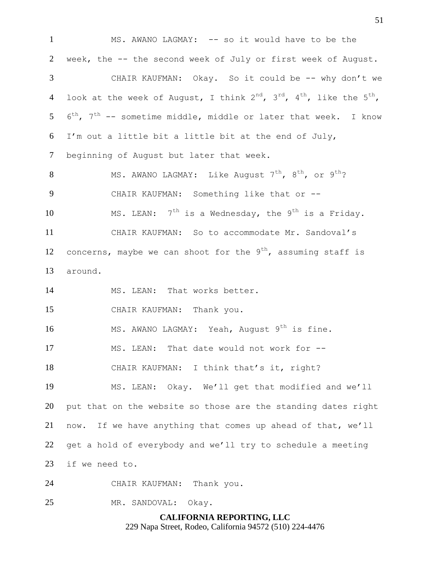1 MS. AWANO LAGMAY: -- so it would have to be the week, the -- the second week of July or first week of August. CHAIR KAUFMAN: Okay. So it could be -- why don't we 4 look at the week of August, I think  $2^{nd}$ ,  $3^{rd}$ ,  $4^{th}$ , like the  $5^{th}$ ,  $6^{th}$ ,  $7^{th}$  -- sometime middle, middle or later that week. I know I'm out a little bit a little bit at the end of July, beginning of August but later that week. 8 MS. AWANO LAGMAY: Like August  $7<sup>th</sup>$ ,  $8<sup>th</sup>$ , or  $9<sup>th</sup>$ ? 9 CHAIR KAUFMAN: Something like that or --10 MS. LEAN:  $7^{th}$  is a Wednesday, the 9<sup>th</sup> is a Friday. CHAIR KAUFMAN: So to accommodate Mr. Sandoval's 12 concerns, maybe we can shoot for the  $9<sup>th</sup>$ , assuming staff is around. MS. LEAN: That works better. CHAIR KAUFMAN: Thank you. 16 MS. AWANO LAGMAY: Yeah, August 9<sup>th</sup> is fine. MS. LEAN: That date would not work for -- CHAIR KAUFMAN: I think that's it, right? MS. LEAN: Okay. We'll get that modified and we'll put that on the website so those are the standing dates right now. If we have anything that comes up ahead of that, we'll get a hold of everybody and we'll try to schedule a meeting if we need to. CHAIR KAUFMAN: Thank you. MR. SANDOVAL: Okay.

> **CALIFORNIA REPORTING, LLC** 229 Napa Street, Rodeo, California 94572 (510) 224-4476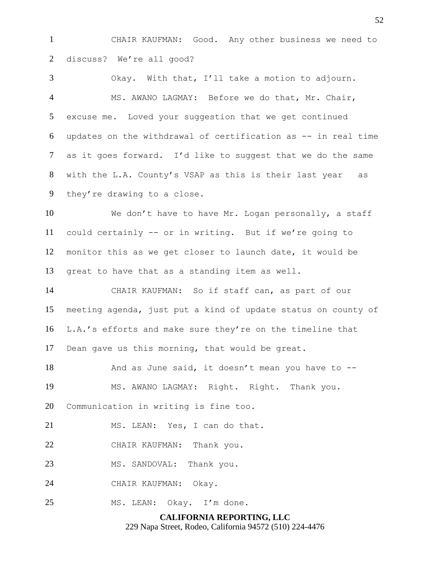CHAIR KAUFMAN: Good. Any other business we need to discuss? We're all good?

 Okay. With that, I'll take a motion to adjourn. MS. AWANO LAGMAY: Before we do that, Mr. Chair, excuse me. Loved your suggestion that we get continued updates on the withdrawal of certification as -- in real time as it goes forward. I'd like to suggest that we do the same with the L.A. County's VSAP as this is their last year as they're drawing to a close.

 We don't have to have Mr. Logan personally, a staff could certainly -- or in writing. But if we're going to monitor this as we get closer to launch date, it would be great to have that as a standing item as well.

 CHAIR KAUFMAN: So if staff can, as part of our meeting agenda, just put a kind of update status on county of L.A.'s efforts and make sure they're on the timeline that Dean gave us this morning, that would be great.

18 And as June said, it doesn't mean you have to -- MS. AWANO LAGMAY: Right. Right. Thank you. Communication in writing is fine too.

MS. LEAN: Yes, I can do that.

CHAIR KAUFMAN: Thank you.

23 MS. SANDOVAL: Thank you.

CHAIR KAUFMAN: Okay.

MS. LEAN: Okay. I'm done.

**CALIFORNIA REPORTING, LLC** 229 Napa Street, Rodeo, California 94572 (510) 224-4476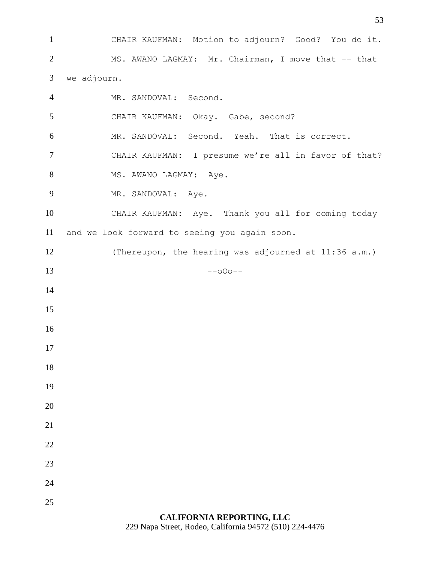CHAIR KAUFMAN: Motion to adjourn? Good? You do it. MS. AWANO LAGMAY: Mr. Chairman, I move that -- that we adjourn. MR. SANDOVAL: Second. CHAIR KAUFMAN: Okay. Gabe, second? MR. SANDOVAL: Second. Yeah. That is correct. CHAIR KAUFMAN: I presume we're all in favor of that? 8 MS. AWANO LAGMAY: Aye. 9 MR. SANDOVAL: Aye. CHAIR KAUFMAN: Aye. Thank you all for coming today and we look forward to seeing you again soon. (Thereupon, the hearing was adjourned at 11:36 a.m.)  $13 - -000 - -$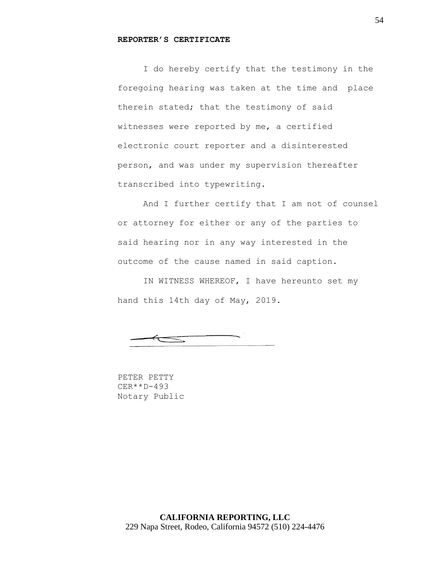#### **REPORTER'S CERTIFICATE**

I do hereby certify that the testimony in the foregoing hearing was taken at the time and place therein stated; that the testimony of said witnesses were reported by me, a certified electronic court reporter and a disinterested person, and was under my supervision thereafter transcribed into typewriting.

And I further certify that I am not of counsel or attorney for either or any of the parties to said hearing nor in any way interested in the outcome of the cause named in said caption.

IN WITNESS WHEREOF, I have hereunto set my hand this 14th day of May, 2019.

 $\equiv$ 

PETER PETTY CER\*\*D-493 Notary Public